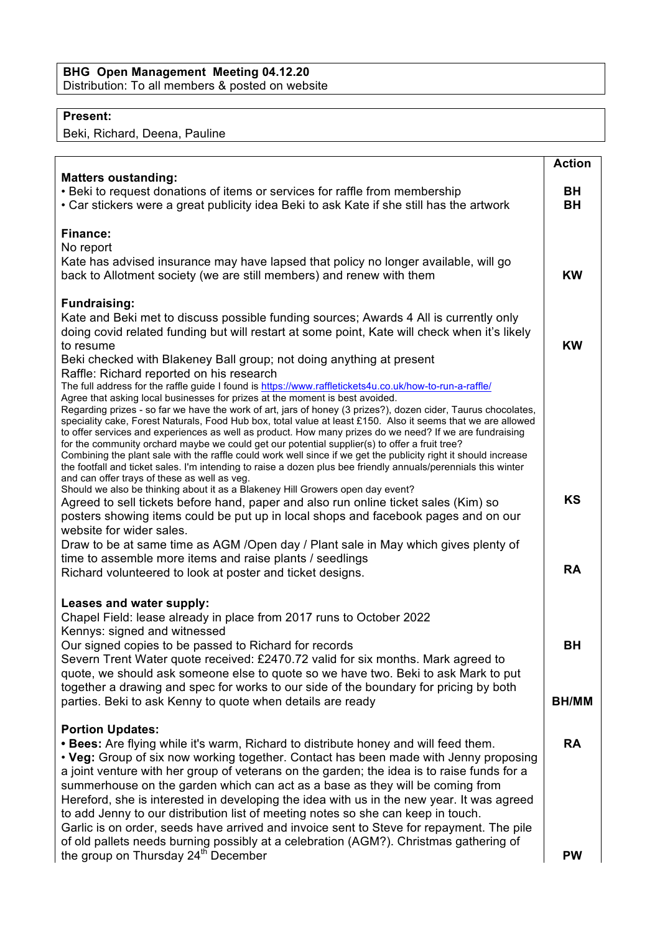## **BHG Open Management Meeting 04.12.20** Distribution: To all members & posted on website

## **Present:**

Beki, Richard, Deena, Pauline

|                                                                                                                                                                                                                                                                                                                                                                                                                                                                                                                                                                                                                                                                                                                                                                                                                                                                           | <b>Action</b>   |
|---------------------------------------------------------------------------------------------------------------------------------------------------------------------------------------------------------------------------------------------------------------------------------------------------------------------------------------------------------------------------------------------------------------------------------------------------------------------------------------------------------------------------------------------------------------------------------------------------------------------------------------------------------------------------------------------------------------------------------------------------------------------------------------------------------------------------------------------------------------------------|-----------------|
| <b>Matters oustanding:</b><br>• Beki to request donations of items or services for raffle from membership<br>• Car stickers were a great publicity idea Beki to ask Kate if she still has the artwork                                                                                                                                                                                                                                                                                                                                                                                                                                                                                                                                                                                                                                                                     | BH<br><b>BH</b> |
| <b>Finance:</b><br>No report<br>Kate has advised insurance may have lapsed that policy no longer available, will go<br>back to Allotment society (we are still members) and renew with them                                                                                                                                                                                                                                                                                                                                                                                                                                                                                                                                                                                                                                                                               | <b>KW</b>       |
| <b>Fundraising:</b><br>Kate and Beki met to discuss possible funding sources; Awards 4 All is currently only<br>doing covid related funding but will restart at some point, Kate will check when it's likely<br>to resume<br>Beki checked with Blakeney Ball group; not doing anything at present<br>Raffle: Richard reported on his research                                                                                                                                                                                                                                                                                                                                                                                                                                                                                                                             | <b>KW</b>       |
| The full address for the raffle guide I found is https://www.raffletickets4u.co.uk/how-to-run-a-raffle/<br>Agree that asking local businesses for prizes at the moment is best avoided.<br>Regarding prizes - so far we have the work of art, jars of honey (3 prizes?), dozen cider, Taurus chocolates,<br>speciality cake, Forest Naturals, Food Hub box, total value at least £150. Also it seems that we are allowed<br>to offer services and experiences as well as product. How many prizes do we need? If we are fundraising<br>for the community orchard maybe we could get our potential supplier(s) to offer a fruit tree?<br>Combining the plant sale with the raffle could work well since if we get the publicity right it should increase<br>the footfall and ticket sales. I'm intending to raise a dozen plus bee friendly annuals/perennials this winter |                 |
| and can offer trays of these as well as veg.<br>Should we also be thinking about it as a Blakeney Hill Growers open day event?<br>Agreed to sell tickets before hand, paper and also run online ticket sales (Kim) so<br>posters showing items could be put up in local shops and facebook pages and on our<br>website for wider sales.<br>Draw to be at same time as AGM / Open day / Plant sale in May which gives plenty of<br>time to assemble more items and raise plants / seedlings                                                                                                                                                                                                                                                                                                                                                                                | <b>KS</b>       |
| Richard volunteered to look at poster and ticket designs.                                                                                                                                                                                                                                                                                                                                                                                                                                                                                                                                                                                                                                                                                                                                                                                                                 | <b>RA</b>       |
| Leases and water supply:<br>Chapel Field: lease already in place from 2017 runs to October 2022<br>Kennys: signed and witnessed<br>Our signed copies to be passed to Richard for records<br>Severn Trent Water quote received: £2470.72 valid for six months. Mark agreed to<br>quote, we should ask someone else to quote so we have two. Beki to ask Mark to put<br>together a drawing and spec for works to our side of the boundary for pricing by both                                                                                                                                                                                                                                                                                                                                                                                                               | BН              |
| parties. Beki to ask Kenny to quote when details are ready                                                                                                                                                                                                                                                                                                                                                                                                                                                                                                                                                                                                                                                                                                                                                                                                                | <b>BH/MM</b>    |
| <b>Portion Updates:</b><br>. Bees: Are flying while it's warm, Richard to distribute honey and will feed them.<br>. Veg: Group of six now working together. Contact has been made with Jenny proposing<br>a joint venture with her group of veterans on the garden; the idea is to raise funds for a<br>summerhouse on the garden which can act as a base as they will be coming from<br>Hereford, she is interested in developing the idea with us in the new year. It was agreed<br>to add Jenny to our distribution list of meeting notes so she can keep in touch.<br>Garlic is on order, seeds have arrived and invoice sent to Steve for repayment. The pile<br>of old pallets needs burning possibly at a celebration (AGM?). Christmas gathering of                                                                                                               | <b>RA</b>       |
| the group on Thursday 24 <sup>th</sup> December                                                                                                                                                                                                                                                                                                                                                                                                                                                                                                                                                                                                                                                                                                                                                                                                                           | <b>PW</b>       |